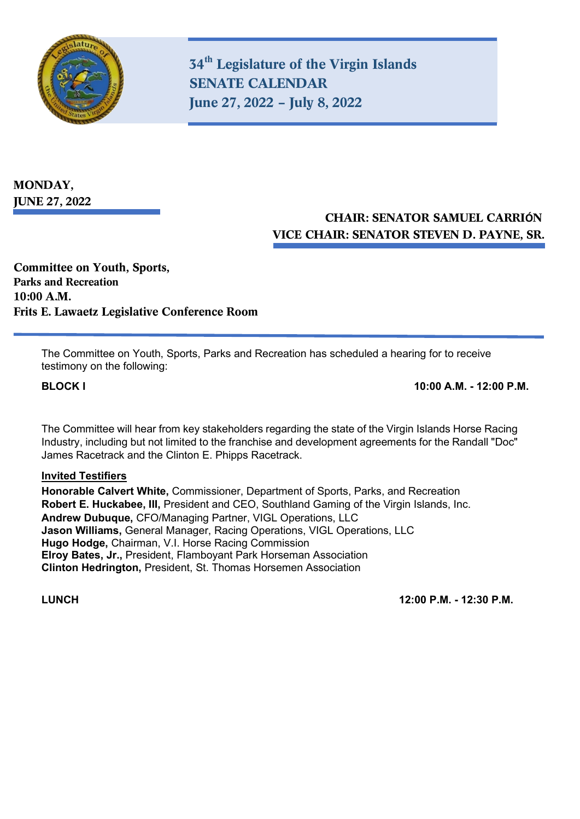

**34th Legislature of the Virgin Islands SENATE CALENDAR June 27, 2022 – July 8, 2022**

**MONDAY, JUNE 27, 2022**

## **CHAIR: SENATOR SAMUEL CARRIÓN VICE CHAIR: SENATOR STEVEN D. PAYNE, SR.**

**Committee on Youth, Sports, Parks and Recreation 10:00 A.M. Frits E. Lawaetz Legislative Conference Room**

> The Committee on Youth, Sports, Parks and Recreation has scheduled a hearing for to receive testimony on the following:

**BLOCK I 10:00 A.M. - 12:00 P.M.** 

The Committee will hear from key stakeholders regarding the state of the Virgin Islands Horse Racing Industry, including but not limited to the franchise and development agreements for the Randall "Doc" James Racetrack and the Clinton E. Phipps Racetrack.

#### **Invited Testifiers**

**Honorable Calvert White,** Commissioner, Department of Sports, Parks, and Recreation **Robert E. Huckabee, III,** President and CEO, Southland Gaming of the Virgin Islands, Inc. **Andrew Dubuque,** CFO/Managing Partner, VIGL Operations, LLC **Jason Williams,** General Manager, Racing Operations, VIGL Operations, LLC **Hugo Hodge,** Chairman, V.I. Horse Racing Commission **Elroy Bates, Jr.,** President, Flamboyant Park Horseman Association **Clinton Hedrington,** President, St. Thomas Horsemen Association

**LUNCH 12:00 P.M. - 12:30 P.M.**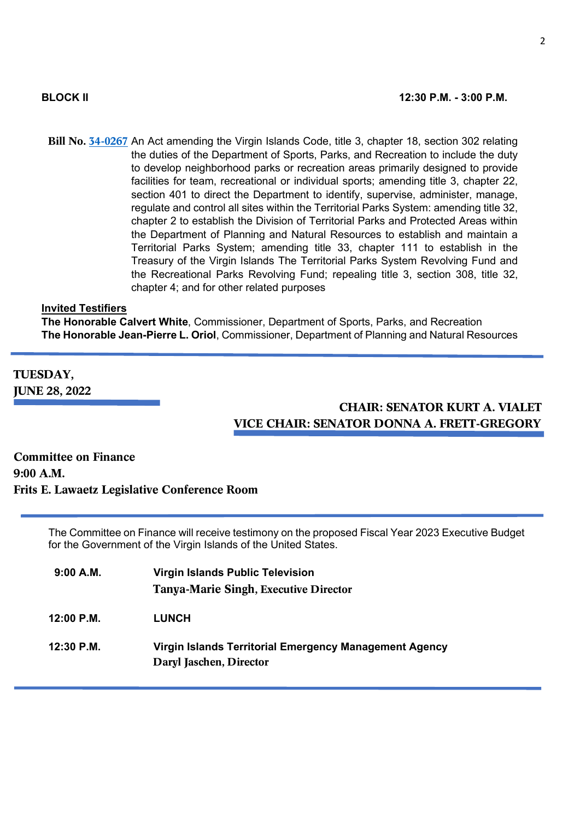**Bill No. [34-0267](https://www.legvi.org/billtracking/ShowPDF.aspx?num=34-0267&type=Bill)** An Act amending the Virgin Islands Code, title 3, chapter 18, section 302 relating the duties of the Department of Sports, Parks, and Recreation to include the duty to develop neighborhood parks or recreation areas primarily designed to provide facilities for team, recreational or individual sports; amending title 3, chapter 22, section 401 to direct the Department to identify, supervise, administer, manage, regulate and control all sites within the Territorial Parks System: amending title 32, chapter 2 to establish the Division of Territorial Parks and Protected Areas within the Department of Planning and Natural Resources to establish and maintain a Territorial Parks System; amending title 33, chapter 111 to establish in the Treasury of the Virgin Islands The Territorial Parks System Revolving Fund and the Recreational Parks Revolving Fund; repealing title 3, section 308, title 32, chapter 4; and for other related purposes

#### **Invited Testifiers**

**The Honorable Calvert White**, Commissioner, Department of Sports, Parks, and Recreation **The Honorable Jean-Pierre L. Oriol**, Commissioner, Department of Planning and Natural Resources

**TUESDAY, JUNE 28, 2022** 

### **CHAIR: SENATOR KURT A. VIALET VICE CHAIR: SENATOR DONNA A. FRETT-GREGORY**

**Committee on Finance 9:00 A.M. Frits E. Lawaetz Legislative Conference Room**

> The Committee on Finance will receive testimony on the proposed Fiscal Year 2023 Executive Budget for the Government of the Virgin Islands of the United States.

| 9:00 A.M.  | <b>Virgin Islands Public Television</b>                                           |  |
|------------|-----------------------------------------------------------------------------------|--|
|            | <b>Tanya-Marie Singh, Executive Director</b>                                      |  |
| 12:00 P.M. | <b>LUNCH</b>                                                                      |  |
| 12:30 P.M. | Virgin Islands Territorial Emergency Management Agency<br>Daryl Jaschen, Director |  |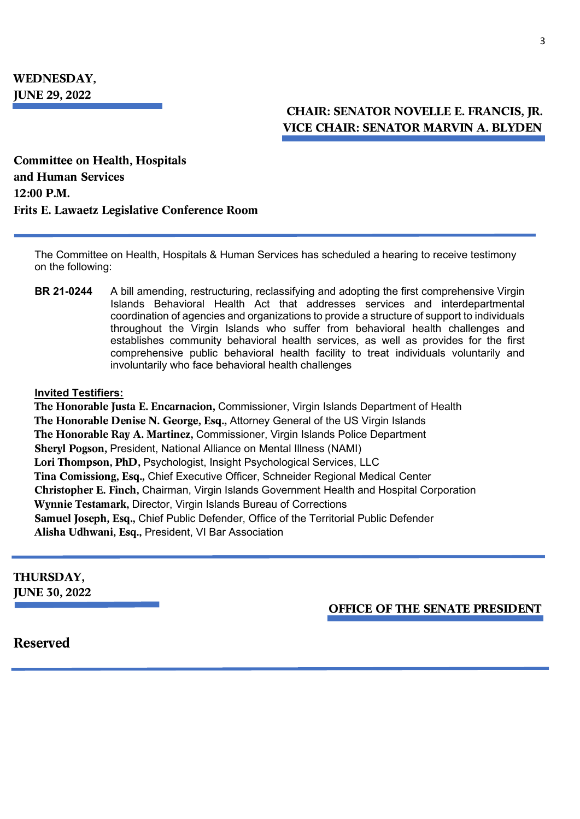### **CHAIR: SENATOR NOVELLE E. FRANCIS, JR. VICE CHAIR: SENATOR MARVIN A. BLYDEN**

**Committee on Health, Hospitals and Human Services 12:00 P.M. Frits E. Lawaetz Legislative Conference Room**

The Committee on Health, Hospitals & Human Services has scheduled a hearing to receive testimony on the following:

**BR 21-0244** A bill amending, restructuring, reclassifying and adopting the first comprehensive Virgin Islands Behavioral Health Act that addresses services and interdepartmental coordination of agencies and organizations to provide a structure of support to individuals throughout the Virgin Islands who suffer from behavioral health challenges and establishes community behavioral health services, as well as provides for the first comprehensive public behavioral health facility to treat individuals voluntarily and involuntarily who face behavioral health challenges

#### **Invited Testifiers:**

**The Honorable Justa E. Encarnacion,** Commissioner, Virgin Islands Department of Health **The Honorable Denise N. George, Esq.,** Attorney General of the US Virgin Islands **The Honorable Ray A. Martinez,** Commissioner, Virgin Islands Police Department **Sheryl Pogson,** President, National Alliance on Mental Illness (NAMI) **Lori Thompson, PhD,** Psychologist, Insight Psychological Services, LLC **Tina Comissiong, Esq.,** Chief Executive Officer, Schneider Regional Medical Center **Christopher E. Finch,** Chairman, Virgin Islands Government Health and Hospital Corporation **Wynnie Testamark,** Director, Virgin Islands Bureau of Corrections **Samuel Joseph, Esq.,** Chief Public Defender, Office of the Territorial Public Defender **Alisha Udhwani, Esq.,** President, VI Bar Association

# **THURSDAY,**

**JUNE 30, 2022**

 **OFFICE OF THE SENATE PRESIDENT**

**Reserved**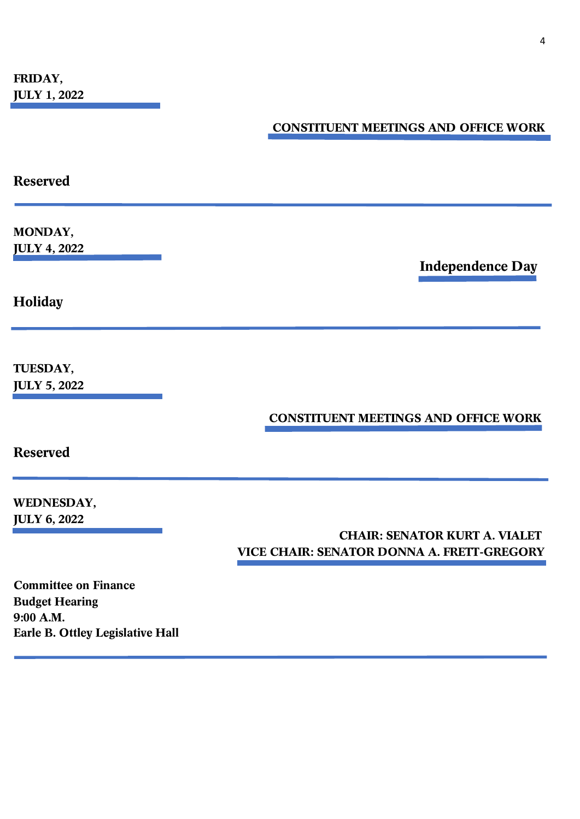**Earle B. Ottley Legislative Hall**

## **CONSTITUENT MEETINGS AND OFFICE WORK**

| <b>Reserved</b>                                                   |                                                                                    |
|-------------------------------------------------------------------|------------------------------------------------------------------------------------|
| MONDAY,<br><b>JULY 4, 2022</b>                                    | <b>Independence Day</b>                                                            |
| Holiday                                                           |                                                                                    |
| TUESDAY,<br><b>JULY 5, 2022</b>                                   |                                                                                    |
| <b>Reserved</b>                                                   | <b>CONSTITUENT MEETINGS AND OFFICE WORK</b>                                        |
| WEDNESDAY,<br><b>JULY 6, 2022</b>                                 | <b>CHAIR: SENATOR KURT A. VIALET</b><br>VICE CHAIR: SENATOR DONNA A. FRETT-GREGORY |
| <b>Committee on Finance</b><br><b>Budget Hearing</b><br>9:00 A.M. |                                                                                    |